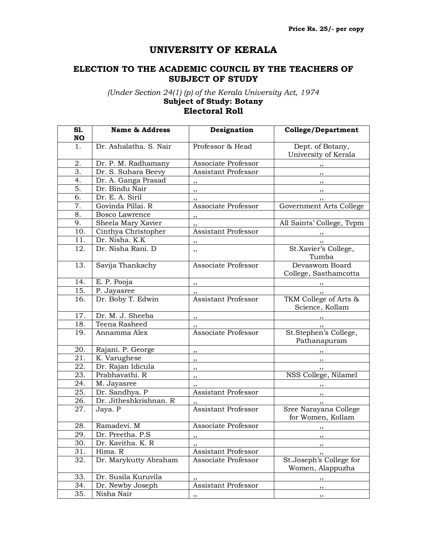## **UNIVERSITY OF KERALA**

## **ELECTION TO THE ACADEMIC COUNCIL BY THE TEACHERS OF SUBJECT OF STUDY**

*(Under Section 24(1) (p) of the Kerala University Act, 1974* **Subject of Study: Botany**

## **Electoral Roll**

| S1.<br><b>NO</b>  | <b>Name &amp; Address</b> | Designation                | <b>College/Department</b>                   |
|-------------------|---------------------------|----------------------------|---------------------------------------------|
|                   |                           |                            |                                             |
| 1.                | Dr. Ashalatha. S. Nair    | Professor & Head           | Dept. of Botany,<br>University of Kerala    |
| 2.                | Dr. P. M. Radhamany       | Associate Professor        | , ,                                         |
| 3.                | Dr. S. Suhara Beevy       | Assistant Professor        | $, \,$                                      |
| 4.                | Dr. A. Ganga Prasad       | ,,                         | $, \, \,$                                   |
| 5.                | Dr. Bindu Nair            | ,,                         | ,,                                          |
| 6.                | Dr. E. A. Siril           | ,,                         |                                             |
| 7.                | Govinda Pillai. R         | Associate Professor        | Government Arts College                     |
| 8.                | <b>Bosco Lawrence</b>     | , ,                        |                                             |
| 9.                | Sheela Mary Xavier        | ,,                         | All Saints' College, Tvpm                   |
| 10.               | Cinthya Christopher       | Assistant Professor        | $, \,$                                      |
| 11.               | Dr. Nisha. K.K            | ,,                         |                                             |
| 12.               | Dr. Nisha Rani. D         | ,,                         | St.Xavier's College,<br>Tumba               |
| 13.               | Savija Thankachy          | Associate Professor        | Devaswom Board<br>College, Sasthamcotta     |
| 14.               | E. P. Pooja               | ,,                         | $, \, \, \cdot$                             |
| 15.               | P. Jayasree               | ,,                         | $, \,$                                      |
| 16.               | Dr. Boby T. Edwin         | <b>Assistant Professor</b> | TKM College of Arts &<br>Science, Kollam    |
| 17.               | Dr. M. J. Sheeba          | ,,                         |                                             |
| 18.               | Teena Rasheed             |                            | , , ,                                       |
| 19.               | Annamma Alex              | Associate Professor        | St.Stephen's College,<br>Pathanapuram       |
| 20.               | Rajani. P. George         | ,,                         |                                             |
| $\overline{21}$ . | K. Varughese              | $, \,$                     | $, \,$                                      |
| 22.               | Dr. Rajan Idicula         | ,,                         |                                             |
| 23.               | Prabhavathi. R            | ,,                         | NSS College, Nilamel                        |
| 24.               | M. Jayasree               | ,,                         |                                             |
| 25.               | Dr. Sandhya. P            | Assistant Professor        |                                             |
| 26.               | Dr. Jitheshkrishnan. R    | ,,                         | $, \,$                                      |
| 27.               | Jaya. P                   | <b>Assistant Professor</b> | Sree Narayana College<br>for Women, Kollam  |
| 28.               | Ramadevi. M               | Associate Professor        | ,,                                          |
| $\overline{29}$ . | Dr. Preetha. P.S          | , ,                        | , ,                                         |
| 30.               | Dr. Kavitha. K. R         | ,,                         | ,,                                          |
| 31.               | Hima. R                   | Assistant Professor        | ,,                                          |
| 32.               | Dr. Marykutty Abraham     | Associate Professor        | St.Joseph's College for<br>Women, Alappuzha |
| 33.               | Dr. Susila Kuruvila       | ,,                         | ,,                                          |
| 34.               | Dr. Newby Joseph          | Assistant Professor        | ,,                                          |
| 35.               | Nisha Nair                | ,,                         | ,,                                          |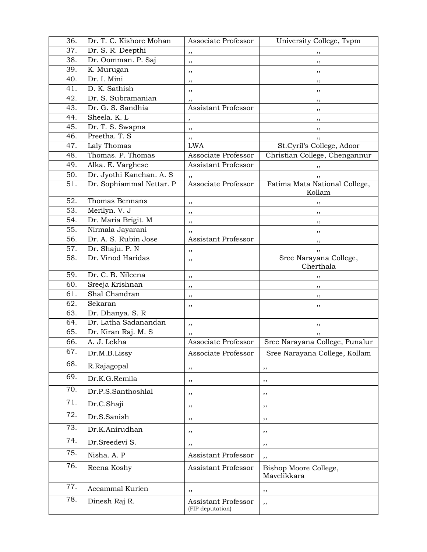| 36. | Dr. T. C. Kishore Mohan  | Associate Professor                     | University College, Tvpm                |
|-----|--------------------------|-----------------------------------------|-----------------------------------------|
| 37. | Dr. S. R. Deepthi        | ,,                                      | ,,                                      |
| 38. | Dr. Oomman. P. Saj       | ,,                                      | ,,                                      |
| 39. | K. Murugan               | ,,                                      | ,,                                      |
| 40. | Dr. I. Mini              | ,,                                      | ,,                                      |
| 41. | D. K. Sathish            | ,,                                      | ,,                                      |
| 42. | Dr. S. Subramanian       | ,,                                      | ,,                                      |
| 43. | Dr. G. S. Sandhia        | <b>Assistant Professor</b>              | ,,                                      |
| 44. | Sheela, K. L             |                                         | ,,                                      |
| 45. | Dr. T. S. Swapna         | ,,                                      | ,,                                      |
| 46. | Preetha. T. S            | ,,                                      |                                         |
| 47. | Laly Thomas              | <b>LWA</b>                              | St.Cyril's College, Adoor               |
| 48. | Thomas. P. Thomas        | Associate Professor                     | Christian College, Chengannur           |
| 49. | Alka. E. Varghese        | <b>Assistant Professor</b>              |                                         |
| 50. | Dr. Jyothi Kanchan. A. S | ,,                                      |                                         |
| 51. | Dr. Sophiammal Nettar. P | Associate Professor                     | Fatima Mata National College,<br>Kollam |
| 52. | Thomas Bennans           | ,,                                      | ,,                                      |
| 53. | Merilyn. V. J            | ,,                                      | ,,                                      |
| 54. | Dr. Maria Brigit. M      | ,,                                      | ,,                                      |
| 55. | Nirmala Jayarani         | ,,                                      | ,,                                      |
| 56. | Dr. A. S. Rubin Jose     | <b>Assistant Professor</b>              | ,,                                      |
| 57. | Dr. Shaju. P. N          | ,,                                      | ,,                                      |
| 58. | Dr. Vinod Haridas        | ,,                                      | Sree Narayana College,<br>Cherthala     |
| 59. | Dr. C. B. Nileena        | ,,                                      | ,,                                      |
| 60. | Sreeja Krishnan          | ,,                                      | ,,                                      |
| 61. | Shal Chandran            | ,,                                      | ,,                                      |
| 62. | Sekaran                  | ,,                                      | ,,                                      |
| 63. | Dr. Dhanya. S. R         |                                         |                                         |
| 64. | Dr. Latha Sadanandan     | ,,                                      | ,,                                      |
| 65. | Dr. Kiran Raj. M. S      | ,,                                      | ,,                                      |
| 66. | A. J. Lekha              | Associate Professor                     | Sree Narayana College, Punalur          |
| 67. | Dr.M.B.Lissy             | Associate Professor                     | Sree Narayana College, Kollam           |
| 68. | R.Rajagopal              | ,,                                      | ,,                                      |
| 69. | Dr.K.G.Remila            | ,,                                      | , ,                                     |
| 70. | Dr.P.S.Santhoshlal       | ,,                                      | , ,                                     |
| 71. | Dr.C.Shaji               | ,,                                      | ,,                                      |
| 72. | Dr.S.Sanish              | ,,                                      | ,,                                      |
| 73. | Dr.K.Anirudhan           | ,,                                      | ,,                                      |
| 74. | Dr.Sreedevi S.           | ,,                                      | ,,                                      |
| 75. | Nisha. A. P              | <b>Assistant Professor</b>              | ,,                                      |
| 76. | Reena Koshy              | Assistant Professor                     | Bishop Moore College,<br>Mavelikkara    |
| 77. | Accammal Kurien          | ,,                                      | ,,                                      |
| 78. | Dinesh Raj R.            | Assistant Professor<br>(FIP deputation) | ,,                                      |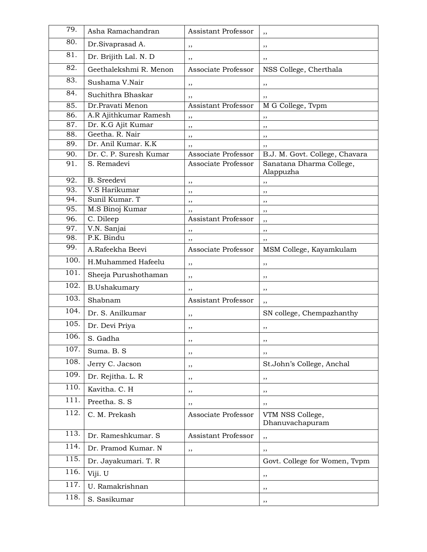| 79.  | Asha Ramachandran      | Assistant Professor        | ,,                                    |
|------|------------------------|----------------------------|---------------------------------------|
| 80.  | Dr.Sivaprasad A.       | ,,                         | ,,                                    |
| 81.  | Dr. Brijith Lal. N. D  | ,,                         | ,,                                    |
| 82.  | Geethalekshmi R. Menon | Associate Professor        | NSS College, Cherthala                |
| 83.  | Sushama V.Nair         | ,,                         | ,,                                    |
| 84.  | Suchithra Bhaskar      | ,,                         | ,,                                    |
| 85.  | Dr.Pravati Menon       | <b>Assistant Professor</b> | M G College, Tvpm                     |
| 86.  | A.R Ajithkumar Ramesh  | ,,                         | ,,                                    |
| 87.  | Dr. K.G Ajit Kumar     | ,,                         | ,,                                    |
| 88.  | Geetha, R. Nair        | ,,                         | ,,                                    |
| 89.  | Dr. Anil Kumar. K.K    | ,,                         | ,,                                    |
| 90.  | Dr. C. P. Suresh Kumar | Associate Professor        | B.J. M. Govt. College, Chavara        |
| 91.  | S. Remadevi            | Associate Professor        | Sanatana Dharma College,<br>Alappuzha |
| 92.  | <b>B.</b> Sreedevi     | ,,                         | ,,                                    |
| 93.  | V.S Harikumar          | ,,                         | ,,                                    |
| 94.  | Sunil Kumar. T         | ,,                         | ,,                                    |
| 95.  | M.S Binoj Kumar        | ,,                         | ,,                                    |
| 96.  | C. Dileep              | <b>Assistant Professor</b> | ,,                                    |
| 97.  | V.N. Sanjai            | ,,                         | ,,                                    |
| 98.  | P.K. Bindu             | ,,                         | ,,                                    |
| 99.  | A.Rafeekha Beevi       | Associate Professor        | MSM College, Kayamkulam               |
| 100. | H.Muhammed Hafeelu     | ,,                         | ,,                                    |
| 101. | Sheeja Purushothaman   | ,,                         | ,,                                    |
| 102. | <b>B.Ushakumary</b>    | ,,                         | ,,                                    |
| 103. | Shabnam                | Assistant Professor        | ,,                                    |
| 104. | Dr. S. Anilkumar       | ,,                         | SN college, Chempazhanthy             |
| 105. | Dr. Devi Priya         | ,,                         | ,,                                    |
| 106. | S. Gadha               | ,,                         | ,,                                    |
| 107. | Suma. B. S             | ,,                         | ,,                                    |
| 108. | Jerry C. Jacson        | ,,                         | St.John's College, Anchal             |
| 109. | Dr. Rejitha. L. R      | ,,                         | ,,                                    |
| 110. | Kavitha. C. H          | ,,                         | ,,                                    |
| 111. | Preetha. S. S          | ,,                         | ,,                                    |
| 112. | C. M. Prekash          | Associate Professor        | VTM NSS College,<br>Dhanuvachapuram   |
| 113. | Dr. Rameshkumar. S     | Assistant Professor        | ,,                                    |
| 114. | Dr. Pramod Kumar. N    | ,,                         | ,,                                    |
| 115. | Dr. Jayakumari. T. R   |                            | Govt. College for Women, Tvpm         |
| 116. | Viji. U                |                            | ,,                                    |
| 117. | U. Ramakrishnan        |                            | ,,                                    |
| 118. | S. Sasikumar           |                            | ,,                                    |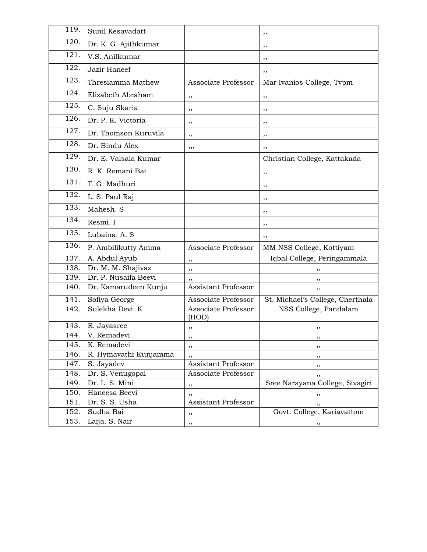| 119.               | Sunil Kesavadatt      |                              | ,,                               |
|--------------------|-----------------------|------------------------------|----------------------------------|
| $\overline{120}$ . | Dr. K. G. Ajithkumar  |                              | ,,                               |
| $\overline{121}$ . | V.S. Anilkumar        |                              | ,,                               |
| 122.               | Jazir Haneef          |                              | ,,                               |
| 123.               | Thresiamma Mathew     | Associate Professor          | Mar Ivanios College, Tvpm        |
| 124.               | Elizabeth Abraham     | ,,                           | ,,                               |
| 125.               | C. Suju Skaria        | ,,                           | ,,                               |
| 126.               | Dr. P. K. Victoria    | ,,                           | ,,                               |
| 127.               | Dr. Thomson Kuruvila  | ,,                           | ,,                               |
| 128.               | Dr. Bindu Alex        | ,,,                          | ,,                               |
| 129.               | Dr. E. Valsala Kumar  |                              | Christian College, Kattakada     |
| 130.               | R. K. Remani Bai      |                              | ,,                               |
| 131.               | T. G. Madhuri         |                              | ,,                               |
| 132.               | L. S. Paul Raj        |                              | ,,                               |
| 133.               | Mahesh. S             |                              | ,,                               |
| 134.               | Resmi. I              |                              | ,,                               |
| 135.               | Lubaina. A. S         |                              | ,,                               |
| 136.               | P. Ambilikutty Amma   | Associate Professor          | MM NSS College, Kottiyam         |
| 137.               | A. Abdul Ayub         | ,,                           | Iqbal College, Peringammala      |
| 138.               | Dr. M. M. Shajivaz    | ,,                           | ,,                               |
| 139.               | Dr. P. Nusaifa Beevi  | ,,                           | ,,                               |
| 140.               | Dr. Kamarudeen Kunju  | <b>Assistant Professor</b>   | ,,                               |
| 141.               | Sofiya George         | Associate Professor          | St. Michael's College, Cherthala |
| 142.               | Sulekha Devi. K       | Associate Professor<br>(HOD) | NSS College, Pandalam            |
| $\overline{1}$ 43. | R. Jayasree           | ,,                           | ,,                               |
| 144.               | V. Remadevi           | ,,                           |                                  |
| 145.               | K. Remadevi           | ,,                           | ,,                               |
| 146.               | R. Hymavathi Kunjamma | ,,                           | ,,                               |
| 147.               | S. Jayadev            | Assistant Professor          | ,,                               |
| 148.               | Dr. S. Venugopal      | Associate Professor          | ,,                               |
| 149.               | Dr. L. S. Mini        | ,,                           | Sree Narayana College, Sivagiri  |
| 150.               | Haneesa Beevi         | ,,                           | ,,                               |
| 151.               | Dr. S. S. Usha        | Assistant Professor          | ,,                               |
| 152.               | Sudha Bai             | ,,                           | Govt. College, Kariavattom       |
| 153.               | Laija. S. Nair        | ,,                           | ,,                               |